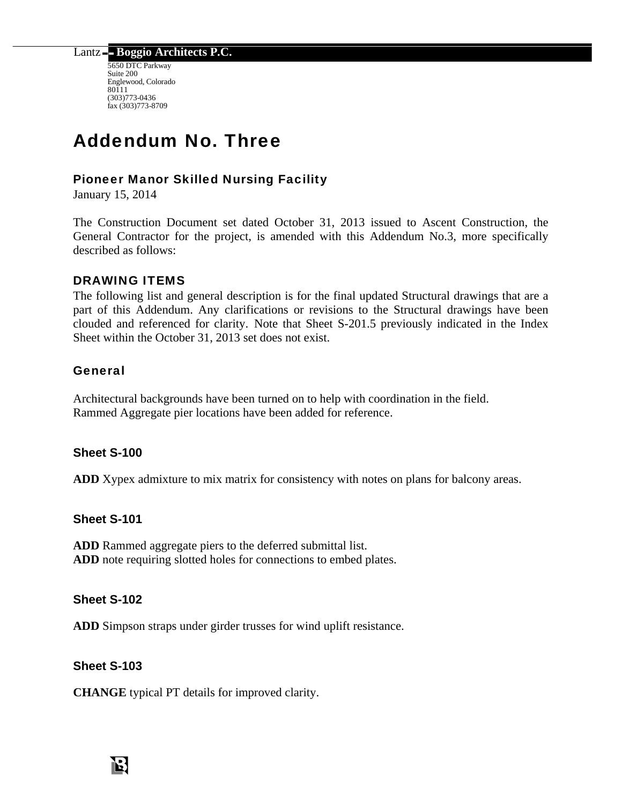Lantz **Boggio Architects P.C.** 

5650 DTC Parkway Suite 200 Englewood, Colorado 80111 (303)773-0436 fax (303)773-8709

# Addendum No. Three

#### Pioneer Manor Skilled Nursing Facility

January 15, 2014

The Construction Document set dated October 31, 2013 issued to Ascent Construction, the General Contractor for the project, is amended with this Addendum No.3, more specifically described as follows:

#### DRAWING ITEMS

The following list and general description is for the final updated Structural drawings that are a part of this Addendum. Any clarifications or revisions to the Structural drawings have been clouded and referenced for clarity. Note that Sheet S-201.5 previously indicated in the Index Sheet within the October 31, 2013 set does not exist.

#### General

Architectural backgrounds have been turned on to help with coordination in the field. Rammed Aggregate pier locations have been added for reference.

#### **Sheet S-100**

**ADD** Xypex admixture to mix matrix for consistency with notes on plans for balcony areas.

#### **Sheet S-101**

**ADD** Rammed aggregate piers to the deferred submittal list. **ADD** note requiring slotted holes for connections to embed plates.

#### **Sheet S-102**

**ADD** Simpson straps under girder trusses for wind uplift resistance.

#### **Sheet S-103**

**CHANGE** typical PT details for improved clarity.

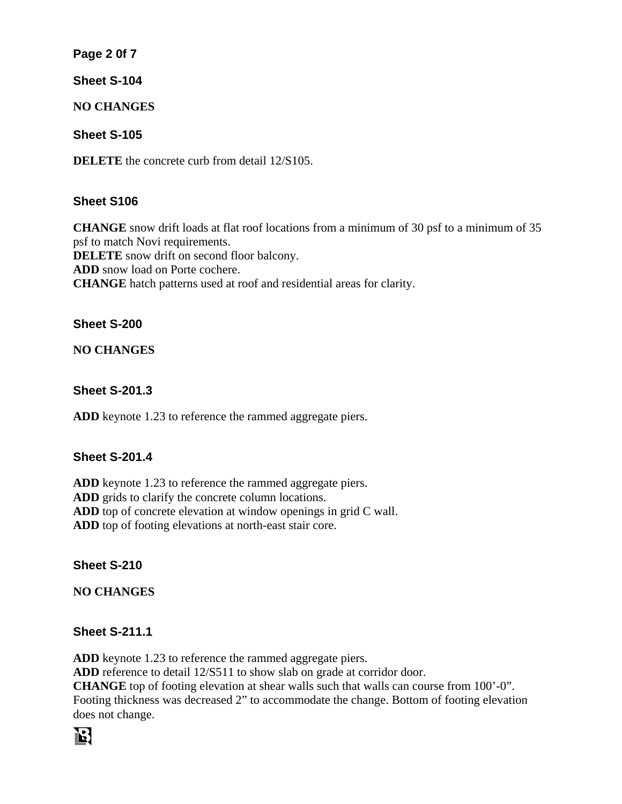#### **Page 2 0f 7**

**Sheet S-104** 

**NO CHANGES** 

**Sheet S-105** 

**DELETE** the concrete curb from detail  $12/5105$ .

## **Sheet S106**

**CHANGE** snow drift loads at flat roof locations from a minimum of 30 psf to a minimum of 35 psf to match Novi requirements.

**DELETE** snow drift on second floor balcony.

**ADD** snow load on Porte cochere.

**CHANGE** hatch patterns used at roof and residential areas for clarity.

#### **Sheet S-200**

**NO CHANGES** 

#### **Sheet S-201.3**

**ADD** keynote 1.23 to reference the rammed aggregate piers.

## **Sheet S-201.4**

**ADD** keynote 1.23 to reference the rammed aggregate piers. **ADD** grids to clarify the concrete column locations. **ADD** top of concrete elevation at window openings in grid C wall. **ADD** top of footing elevations at north-east stair core.

## **Sheet S-210**

**NO CHANGES** 

## **Sheet S-211.1**

**ADD** keynote 1.23 to reference the rammed aggregate piers.

**ADD** reference to detail 12/S511 to show slab on grade at corridor door.

**CHANGE** top of footing elevation at shear walls such that walls can course from 100'-0". Footing thickness was decreased 2" to accommodate the change. Bottom of footing elevation does not change.

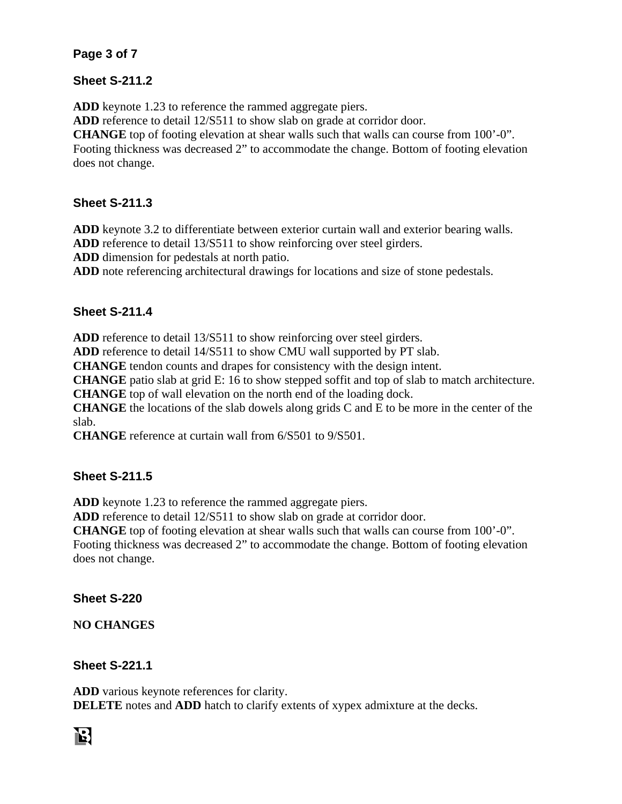#### **Page 3 of 7**

#### **Sheet S-211.2**

**ADD** keynote 1.23 to reference the rammed aggregate piers.

**ADD** reference to detail 12/S511 to show slab on grade at corridor door.

**CHANGE** top of footing elevation at shear walls such that walls can course from 100'-0".

Footing thickness was decreased 2" to accommodate the change. Bottom of footing elevation does not change.

## **Sheet S-211.3**

**ADD** keynote 3.2 to differentiate between exterior curtain wall and exterior bearing walls.

**ADD** reference to detail 13/S511 to show reinforcing over steel girders.

**ADD** dimension for pedestals at north patio.

**ADD** note referencing architectural drawings for locations and size of stone pedestals.

## **Sheet S-211.4**

**ADD** reference to detail 13/S511 to show reinforcing over steel girders.

**ADD** reference to detail 14/S511 to show CMU wall supported by PT slab.

**CHANGE** tendon counts and drapes for consistency with the design intent.

**CHANGE** patio slab at grid E: 16 to show stepped soffit and top of slab to match architecture.

**CHANGE** top of wall elevation on the north end of the loading dock.

**CHANGE** the locations of the slab dowels along grids C and E to be more in the center of the slab.

**CHANGE** reference at curtain wall from 6/S501 to 9/S501.

# **Sheet S-211.5**

**ADD** keynote 1.23 to reference the rammed aggregate piers.

**ADD** reference to detail 12/S511 to show slab on grade at corridor door.

**CHANGE** top of footing elevation at shear walls such that walls can course from 100'-0". Footing thickness was decreased 2" to accommodate the change. Bottom of footing elevation does not change.

## **Sheet S-220**

**NO CHANGES** 

## **Sheet S-221.1**

**ADD** various keynote references for clarity. **DELETE** notes and **ADD** hatch to clarify extents of xypex admixture at the decks.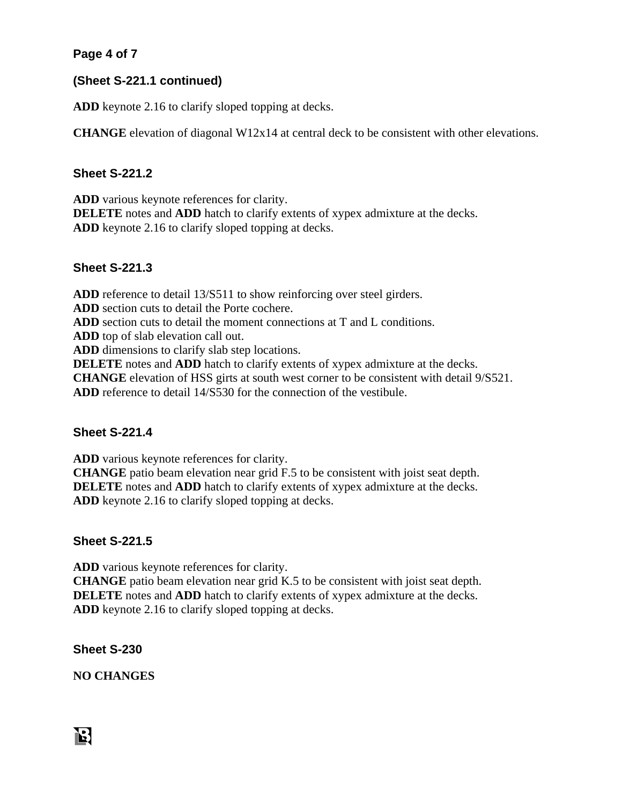## **Page 4 of 7**

#### **(Sheet S-221.1 continued)**

**ADD** keynote 2.16 to clarify sloped topping at decks.

**CHANGE** elevation of diagonal W12x14 at central deck to be consistent with other elevations.

#### **Sheet S-221.2**

**ADD** various keynote references for clarity. **DELETE** notes and **ADD** hatch to clarify extents of xypex admixture at the decks. **ADD** keynote 2.16 to clarify sloped topping at decks.

#### **Sheet S-221.3**

**ADD** reference to detail 13/S511 to show reinforcing over steel girders. **ADD** section cuts to detail the Porte cochere. **ADD** section cuts to detail the moment connections at T and L conditions. **ADD** top of slab elevation call out. **ADD** dimensions to clarify slab step locations. **DELETE** notes and **ADD** hatch to clarify extents of xypex admixture at the decks. **CHANGE** elevation of HSS girts at south west corner to be consistent with detail 9/S521. **ADD** reference to detail 14/S530 for the connection of the vestibule.

#### **Sheet S-221.4**

**ADD** various keynote references for clarity.

**CHANGE** patio beam elevation near grid F.5 to be consistent with joist seat depth. **DELETE** notes and **ADD** hatch to clarify extents of xypex admixture at the decks. **ADD** keynote 2.16 to clarify sloped topping at decks.

#### **Sheet S-221.5**

**ADD** various keynote references for clarity. **CHANGE** patio beam elevation near grid K.5 to be consistent with joist seat depth. **DELETE** notes and **ADD** hatch to clarify extents of xypex admixture at the decks. **ADD** keynote 2.16 to clarify sloped topping at decks.

**Sheet S-230** 

**NO CHANGES**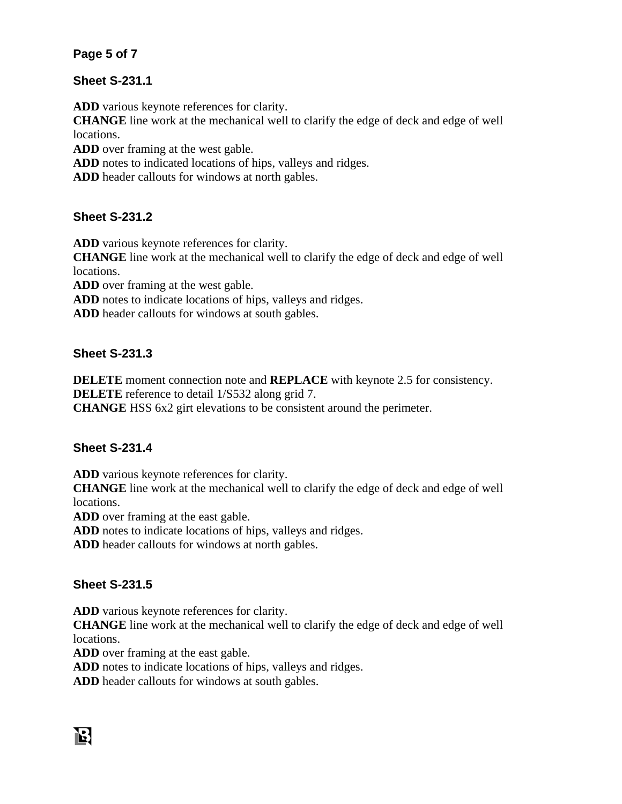## **Page 5 of 7**

#### **Sheet S-231.1**

**ADD** various keynote references for clarity.

**CHANGE** line work at the mechanical well to clarify the edge of deck and edge of well locations.

**ADD** over framing at the west gable.

**ADD** notes to indicated locations of hips, valleys and ridges.

**ADD** header callouts for windows at north gables.

#### **Sheet S-231.2**

**ADD** various keynote references for clarity.

**CHANGE** line work at the mechanical well to clarify the edge of deck and edge of well locations.

**ADD** over framing at the west gable.

**ADD** notes to indicate locations of hips, valleys and ridges.

**ADD** header callouts for windows at south gables.

#### **Sheet S-231.3**

**DELETE** moment connection note and **REPLACE** with keynote 2.5 for consistency. **DELETE** reference to detail  $1/S532$  along grid 7.

**CHANGE** HSS 6x2 girt elevations to be consistent around the perimeter.

## **Sheet S-231.4**

**ADD** various keynote references for clarity.

**CHANGE** line work at the mechanical well to clarify the edge of deck and edge of well locations.

**ADD** over framing at the east gable.

**ADD** notes to indicate locations of hips, valleys and ridges.

**ADD** header callouts for windows at north gables.

#### **Sheet S-231.5**

**ADD** various keynote references for clarity.

**CHANGE** line work at the mechanical well to clarify the edge of deck and edge of well locations.

**ADD** over framing at the east gable.

**ADD** notes to indicate locations of hips, valleys and ridges.

**ADD** header callouts for windows at south gables.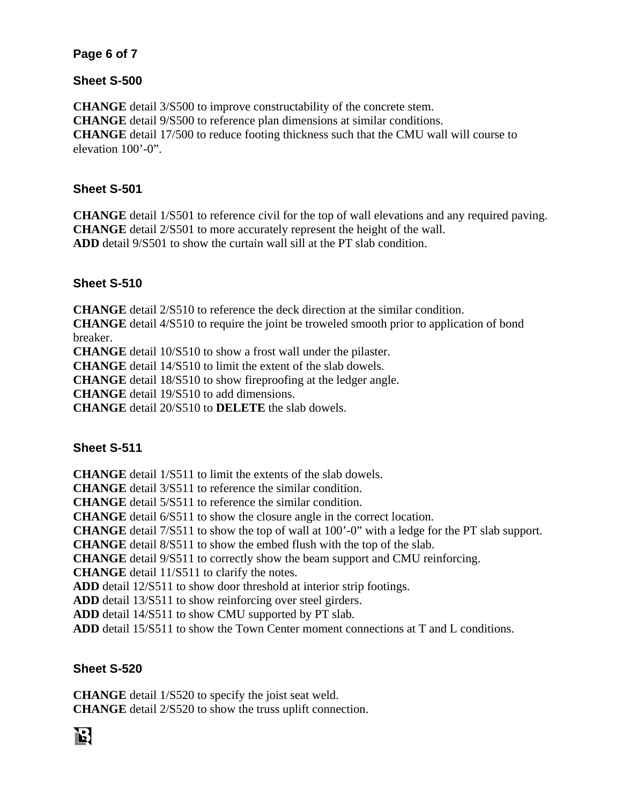#### **Page 6 of 7**

#### **Sheet S-500**

**CHANGE** detail 3/S500 to improve constructability of the concrete stem. **CHANGE** detail 9/S500 to reference plan dimensions at similar conditions. **CHANGE** detail 17/500 to reduce footing thickness such that the CMU wall will course to elevation 100'-0".

#### **Sheet S-501**

**CHANGE** detail 1/S501 to reference civil for the top of wall elevations and any required paving. **CHANGE** detail 2/S501 to more accurately represent the height of the wall. **ADD** detail 9/S501 to show the curtain wall sill at the PT slab condition.

#### **Sheet S-510**

**CHANGE** detail 2/S510 to reference the deck direction at the similar condition.

**CHANGE** detail 4/S510 to require the joint be troweled smooth prior to application of bond breaker.

**CHANGE** detail 10/S510 to show a frost wall under the pilaster.

**CHANGE** detail 14/S510 to limit the extent of the slab dowels.

**CHANGE** detail 18/S510 to show fireproofing at the ledger angle.

**CHANGE** detail 19/S510 to add dimensions.

**CHANGE** detail 20/S510 to **DELETE** the slab dowels.

## **Sheet S-511**

**CHANGE** detail 1/S511 to limit the extents of the slab dowels.

**CHANGE** detail 3/S511 to reference the similar condition.

**CHANGE** detail 5/S511 to reference the similar condition.

**CHANGE** detail 6/S511 to show the closure angle in the correct location.

**CHANGE** detail 7/S511 to show the top of wall at 100'-0" with a ledge for the PT slab support.

**CHANGE** detail 8/S511 to show the embed flush with the top of the slab.

**CHANGE** detail 9/S511 to correctly show the beam support and CMU reinforcing.

**CHANGE** detail 11/S511 to clarify the notes.

**ADD** detail 12/S511 to show door threshold at interior strip footings.

**ADD** detail 13/S511 to show reinforcing over steel girders.

**ADD** detail 14/S511 to show CMU supported by PT slab.

**ADD** detail 15/S511 to show the Town Center moment connections at T and L conditions.

## **Sheet S-520**

**CHANGE** detail 1/S520 to specify the joist seat weld. **CHANGE** detail 2/S520 to show the truss uplift connection.